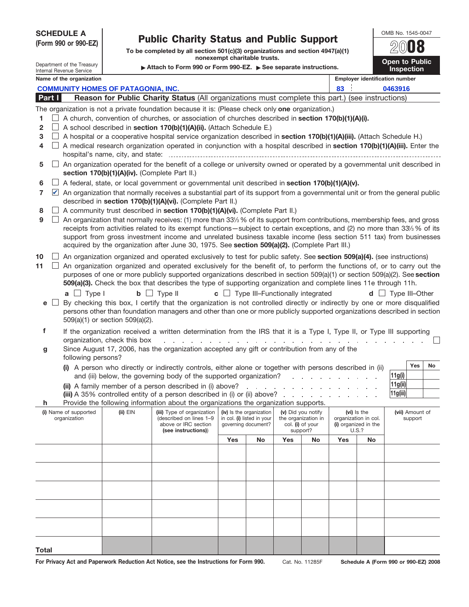| <b>SCHEDULE A</b><br>(Form 990 or 990-EZ)<br>Department of the Treasury<br><b>Internal Revenue Service</b> |                            |                                                                                                                                                                                                                                                                                                                                                                                                                                  | <b>Public Charity Status and Public Support</b><br>To be completed by all section 501(c)(3) organizations and section 4947(a)(1)<br>nonexempt charitable trusts.<br>Attach to Form 990 or Form 990-EZ. See separate instructions.                                                                                                                                                                                                                                                                  |                                                                                                                                                                                                                                                                                                                                                                                                                                                                              |     |    |     |                                                                      |               |                                       | OMB No. 1545-0047<br>Open to Public<br><b>Inspection</b> |  |  |
|------------------------------------------------------------------------------------------------------------|----------------------------|----------------------------------------------------------------------------------------------------------------------------------------------------------------------------------------------------------------------------------------------------------------------------------------------------------------------------------------------------------------------------------------------------------------------------------|----------------------------------------------------------------------------------------------------------------------------------------------------------------------------------------------------------------------------------------------------------------------------------------------------------------------------------------------------------------------------------------------------------------------------------------------------------------------------------------------------|------------------------------------------------------------------------------------------------------------------------------------------------------------------------------------------------------------------------------------------------------------------------------------------------------------------------------------------------------------------------------------------------------------------------------------------------------------------------------|-----|----|-----|----------------------------------------------------------------------|---------------|---------------------------------------|----------------------------------------------------------|--|--|
|                                                                                                            |                            | Name of the organization                                                                                                                                                                                                                                                                                                                                                                                                         |                                                                                                                                                                                                                                                                                                                                                                                                                                                                                                    |                                                                                                                                                                                                                                                                                                                                                                                                                                                                              |     |    |     |                                                                      |               | <b>Employer identification number</b> |                                                          |  |  |
|                                                                                                            |                            |                                                                                                                                                                                                                                                                                                                                                                                                                                  | <b>COMMUNITY HOMES OF PATAGONIA, INC.</b>                                                                                                                                                                                                                                                                                                                                                                                                                                                          |                                                                                                                                                                                                                                                                                                                                                                                                                                                                              |     |    |     |                                                                      | 83<br>0463916 |                                       |                                                          |  |  |
|                                                                                                            | Part I                     |                                                                                                                                                                                                                                                                                                                                                                                                                                  |                                                                                                                                                                                                                                                                                                                                                                                                                                                                                                    | Reason for Public Charity Status (All organizations must complete this part.) (see instructions)                                                                                                                                                                                                                                                                                                                                                                             |     |    |     |                                                                      |               |                                       |                                                          |  |  |
|                                                                                                            |                            |                                                                                                                                                                                                                                                                                                                                                                                                                                  |                                                                                                                                                                                                                                                                                                                                                                                                                                                                                                    | The organization is not a private foundation because it is: (Please check only one organization.)                                                                                                                                                                                                                                                                                                                                                                            |     |    |     |                                                                      |               |                                       |                                                          |  |  |
| 1                                                                                                          |                            |                                                                                                                                                                                                                                                                                                                                                                                                                                  |                                                                                                                                                                                                                                                                                                                                                                                                                                                                                                    | A church, convention of churches, or association of churches described in section 170(b)(1)(A)(i).                                                                                                                                                                                                                                                                                                                                                                           |     |    |     |                                                                      |               |                                       |                                                          |  |  |
| $\mathbf{2}$<br>3<br>4                                                                                     |                            |                                                                                                                                                                                                                                                                                                                                                                                                                                  | A school described in section 170(b)(1)(A)(ii). (Attach Schedule E.)<br>A hospital or a cooperative hospital service organization described in section 170(b)(1)(A)(iii). (Attach Schedule H.)<br>A medical research organization operated in conjunction with a hospital described in section 170(b)(1)(A)(iii). Enter the                                                                                                                                                                        |                                                                                                                                                                                                                                                                                                                                                                                                                                                                              |     |    |     |                                                                      |               |                                       |                                                          |  |  |
|                                                                                                            |                            |                                                                                                                                                                                                                                                                                                                                                                                                                                  |                                                                                                                                                                                                                                                                                                                                                                                                                                                                                                    |                                                                                                                                                                                                                                                                                                                                                                                                                                                                              |     |    |     |                                                                      |               |                                       |                                                          |  |  |
| 5                                                                                                          |                            | An organization operated for the benefit of a college or university owned or operated by a governmental unit described in<br>section 170(b)(1)(A)(iv). (Complete Part II.)                                                                                                                                                                                                                                                       |                                                                                                                                                                                                                                                                                                                                                                                                                                                                                                    |                                                                                                                                                                                                                                                                                                                                                                                                                                                                              |     |    |     |                                                                      |               |                                       |                                                          |  |  |
| 6                                                                                                          |                            |                                                                                                                                                                                                                                                                                                                                                                                                                                  |                                                                                                                                                                                                                                                                                                                                                                                                                                                                                                    | A federal, state, or local government or governmental unit described in section 170(b)(1)(A)(v).                                                                                                                                                                                                                                                                                                                                                                             |     |    |     |                                                                      |               |                                       |                                                          |  |  |
| $\overline{7}$                                                                                             | $\boldsymbol{\mathcal{U}}$ |                                                                                                                                                                                                                                                                                                                                                                                                                                  |                                                                                                                                                                                                                                                                                                                                                                                                                                                                                                    | An organization that normally receives a substantial part of its support from a governmental unit or from the general public<br>described in section 170(b)(1)(A)(vi). (Complete Part II.)                                                                                                                                                                                                                                                                                   |     |    |     |                                                                      |               |                                       |                                                          |  |  |
| 8                                                                                                          |                            |                                                                                                                                                                                                                                                                                                                                                                                                                                  |                                                                                                                                                                                                                                                                                                                                                                                                                                                                                                    | A community trust described in section 170(b)(1)(A)(vi). (Complete Part II.)                                                                                                                                                                                                                                                                                                                                                                                                 |     |    |     |                                                                      |               |                                       |                                                          |  |  |
| 9                                                                                                          |                            |                                                                                                                                                                                                                                                                                                                                                                                                                                  |                                                                                                                                                                                                                                                                                                                                                                                                                                                                                                    | An organization that normally receives: (1) more than 33% % of its support from contributions, membership fees, and gross<br>receipts from activities related to its exempt functions—subject to certain exceptions, and (2) no more than 33% % of its<br>support from gross investment income and unrelated business taxable income (less section 511 tax) from businesses<br>acquired by the organization after June 30, 1975. See section 509(a)(2). (Complete Part III.) |     |    |     |                                                                      |               |                                       |                                                          |  |  |
| 10<br>11                                                                                                   |                            |                                                                                                                                                                                                                                                                                                                                                                                                                                  | An organization organized and operated exclusively to test for public safety. See section 509(a)(4). (see instructions)<br>An organization organized and operated exclusively for the benefit of, to perform the functions of, or to carry out the<br>purposes of one or more publicly supported organizations described in section 509(a)(1) or section 509(a)(2). See section<br>509(a)(3). Check the box that describes the type of supporting organization and complete lines 11e through 11h. |                                                                                                                                                                                                                                                                                                                                                                                                                                                                              |     |    |     |                                                                      |               |                                       |                                                          |  |  |
| e                                                                                                          |                            | $a \Box$ Type I<br>$\mathsf{b}$ $\Box$ Type II<br>$\mathbf{c}$ $\Box$ Type III-Functionally integrated<br>Type III-Other<br>$d \Box$<br>By checking this box, I certify that the organization is not controlled directly or indirectly by one or more disqualified<br>persons other than foundation managers and other than one or more publicly supported organizations described in section<br>509(a)(1) or section 509(a)(2). |                                                                                                                                                                                                                                                                                                                                                                                                                                                                                                    |                                                                                                                                                                                                                                                                                                                                                                                                                                                                              |     |    |     |                                                                      |               |                                       |                                                          |  |  |
| f                                                                                                          |                            |                                                                                                                                                                                                                                                                                                                                                                                                                                  |                                                                                                                                                                                                                                                                                                                                                                                                                                                                                                    | If the organization received a written determination from the IRS that it is a Type I, Type II, or Type III supporting                                                                                                                                                                                                                                                                                                                                                       |     |    |     |                                                                      |               |                                       |                                                          |  |  |
| g                                                                                                          |                            | following persons?                                                                                                                                                                                                                                                                                                                                                                                                               | organization, check this box                                                                                                                                                                                                                                                                                                                                                                                                                                                                       | Since August 17, 2006, has the organization accepted any gift or contribution from any of the                                                                                                                                                                                                                                                                                                                                                                                |     |    |     |                                                                      |               |                                       |                                                          |  |  |
|                                                                                                            |                            |                                                                                                                                                                                                                                                                                                                                                                                                                                  |                                                                                                                                                                                                                                                                                                                                                                                                                                                                                                    | (i) A person who directly or indirectly controls, either alone or together with persons described in (ii)<br>and (iii) below, the governing body of the supported organization?                                                                                                                                                                                                                                                                                              |     |    |     |                                                                      |               |                                       | No<br>Yes<br>11g(i)                                      |  |  |
|                                                                                                            |                            |                                                                                                                                                                                                                                                                                                                                                                                                                                  |                                                                                                                                                                                                                                                                                                                                                                                                                                                                                                    | (ii) A family member of a person described in (i) above?<br>(iii) A 35% controlled entity of a person described in (i) or (ii) above?                                                                                                                                                                                                                                                                                                                                        |     |    |     | and a straightful contract and a                                     |               |                                       | 11g(ii) <br> 11g(iii)                                    |  |  |
| h                                                                                                          |                            |                                                                                                                                                                                                                                                                                                                                                                                                                                  |                                                                                                                                                                                                                                                                                                                                                                                                                                                                                                    | Provide the following information about the organizations the organization supports.                                                                                                                                                                                                                                                                                                                                                                                         |     |    |     |                                                                      |               |                                       |                                                          |  |  |
| (i) Name of supported<br>organization                                                                      |                            |                                                                                                                                                                                                                                                                                                                                                                                                                                  | $(ii)$ $EIN$                                                                                                                                                                                                                                                                                                                                                                                                                                                                                       | (iv) Is the organization<br>(v) Did you notify<br>in col. (i) listed in your<br>the organization in<br>governing document?<br>col. (i) of your<br>support?                                                                                                                                                                                                                                                                                                                   |     |    |     | (vi) Is the<br>organization in col.<br>(i) organized in the<br>U.S.? |               | (vii) Amount of<br>support            |                                                          |  |  |
|                                                                                                            |                            |                                                                                                                                                                                                                                                                                                                                                                                                                                  |                                                                                                                                                                                                                                                                                                                                                                                                                                                                                                    |                                                                                                                                                                                                                                                                                                                                                                                                                                                                              | Yes | No | Yes | No                                                                   | <b>Yes</b>    | No                                    |                                                          |  |  |
|                                                                                                            |                            |                                                                                                                                                                                                                                                                                                                                                                                                                                  |                                                                                                                                                                                                                                                                                                                                                                                                                                                                                                    |                                                                                                                                                                                                                                                                                                                                                                                                                                                                              |     |    |     |                                                                      |               |                                       |                                                          |  |  |
|                                                                                                            |                            |                                                                                                                                                                                                                                                                                                                                                                                                                                  |                                                                                                                                                                                                                                                                                                                                                                                                                                                                                                    |                                                                                                                                                                                                                                                                                                                                                                                                                                                                              |     |    |     |                                                                      |               |                                       |                                                          |  |  |
|                                                                                                            |                            |                                                                                                                                                                                                                                                                                                                                                                                                                                  |                                                                                                                                                                                                                                                                                                                                                                                                                                                                                                    |                                                                                                                                                                                                                                                                                                                                                                                                                                                                              |     |    |     |                                                                      |               |                                       |                                                          |  |  |
|                                                                                                            |                            |                                                                                                                                                                                                                                                                                                                                                                                                                                  |                                                                                                                                                                                                                                                                                                                                                                                                                                                                                                    |                                                                                                                                                                                                                                                                                                                                                                                                                                                                              |     |    |     |                                                                      |               |                                       |                                                          |  |  |
|                                                                                                            |                            |                                                                                                                                                                                                                                                                                                                                                                                                                                  |                                                                                                                                                                                                                                                                                                                                                                                                                                                                                                    |                                                                                                                                                                                                                                                                                                                                                                                                                                                                              |     |    |     |                                                                      |               |                                       |                                                          |  |  |
|                                                                                                            |                            |                                                                                                                                                                                                                                                                                                                                                                                                                                  |                                                                                                                                                                                                                                                                                                                                                                                                                                                                                                    |                                                                                                                                                                                                                                                                                                                                                                                                                                                                              |     |    |     |                                                                      |               |                                       |                                                          |  |  |
|                                                                                                            |                            |                                                                                                                                                                                                                                                                                                                                                                                                                                  |                                                                                                                                                                                                                                                                                                                                                                                                                                                                                                    |                                                                                                                                                                                                                                                                                                                                                                                                                                                                              |     |    |     |                                                                      |               |                                       |                                                          |  |  |

For Privacy Act and Paperwork Reduction Act Notice, see the Instructions for Form 990. Cat. No. 11285F Schedule A (Form 990 or 990-EZ) 2008

**Total**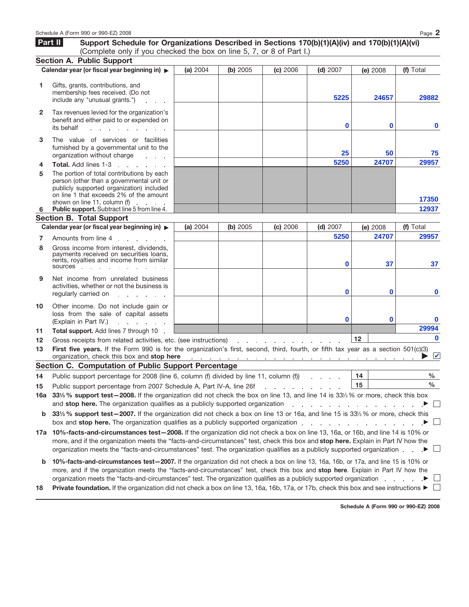| Part II      | Support Schedule for Organizations Described in Sections 170(b)(1)(A)(iv) and 170(b)(1)(A)(vi)<br>(Complete only if you checked the box on line 5, 7, or 8 of Part I.)                                                                                                                                                                                                                                                                                                                  |          |                                                                                     |                                   |            |          |          |                       |  |
|--------------|-----------------------------------------------------------------------------------------------------------------------------------------------------------------------------------------------------------------------------------------------------------------------------------------------------------------------------------------------------------------------------------------------------------------------------------------------------------------------------------------|----------|-------------------------------------------------------------------------------------|-----------------------------------|------------|----------|----------|-----------------------|--|
|              | <b>Section A. Public Support</b>                                                                                                                                                                                                                                                                                                                                                                                                                                                        |          |                                                                                     |                                   |            |          |          |                       |  |
|              | Calendar year (or fiscal year beginning in) >                                                                                                                                                                                                                                                                                                                                                                                                                                           | (a) 2004 | (b) 2005                                                                            | (c) 2006                          | $(d)$ 2007 | (e) 2008 |          | (f) Total             |  |
| 1            | Gifts, grants, contributions, and<br>membership fees received. (Do not<br>include any "unusual grants.")                                                                                                                                                                                                                                                                                                                                                                                |          |                                                                                     |                                   | 5225       |          | 24657    | 29882                 |  |
| $\mathbf{2}$ | Tax revenues levied for the organization's<br>benefit and either paid to or expended on<br>its behalf                                                                                                                                                                                                                                                                                                                                                                                   |          |                                                                                     |                                   | $\bf{0}$   |          | $\bf{0}$ | $\mathbf 0$           |  |
| 3            | The value of services or facilities<br>furnished by a governmental unit to the<br>organization without charge<br><b>Service State</b>                                                                                                                                                                                                                                                                                                                                                   |          |                                                                                     |                                   | 25         | 50       |          | 75                    |  |
| 4            | <b>Total.</b> Add lines 1-3<br>and the state of the state of                                                                                                                                                                                                                                                                                                                                                                                                                            |          |                                                                                     |                                   | 5250       |          | 24707    | 29957                 |  |
| 5<br>6       | The portion of total contributions by each<br>person (other than a governmental unit or<br>publicly supported organization) included<br>on line 1 that exceeds 2% of the amount<br>shown on line 11, column (f)<br>Public support. Subtract line 5 from line 4.                                                                                                                                                                                                                         |          |                                                                                     |                                   |            |          |          | 17350<br>12937        |  |
|              | <b>Section B. Total Support</b>                                                                                                                                                                                                                                                                                                                                                                                                                                                         |          |                                                                                     |                                   |            |          |          |                       |  |
|              | Calendar year (or fiscal year beginning in)                                                                                                                                                                                                                                                                                                                                                                                                                                             | (a) 2004 | (b) 2005                                                                            | (c) 2006                          | $(d)$ 2007 | (e) 2008 |          | (f) Total             |  |
|              |                                                                                                                                                                                                                                                                                                                                                                                                                                                                                         |          |                                                                                     |                                   | 5250       |          | 24707    | 29957                 |  |
| 7<br>8       | Amounts from line 4<br>Gross income from interest, dividends.<br>payments received on securities loans,<br>rents, royalties and income from similar<br>sources and sources                                                                                                                                                                                                                                                                                                              |          |                                                                                     |                                   | $\bf{0}$   |          | 37       | 37                    |  |
| 9            | Net income from unrelated business<br>activities, whether or not the business is<br>regularly carried on<br>and the state of the                                                                                                                                                                                                                                                                                                                                                        |          |                                                                                     |                                   | $\bf{0}$   |          | 0        | $\bf{0}$              |  |
| 10           | Other income. Do not include gain or<br>loss from the sale of capital assets<br>(Explain in Part IV.)<br>and a state of the state                                                                                                                                                                                                                                                                                                                                                       |          |                                                                                     |                                   | $\bf{0}$   |          | 0        |                       |  |
| 11           | Total support. Add lines 7 through 10                                                                                                                                                                                                                                                                                                                                                                                                                                                   |          |                                                                                     |                                   |            |          |          | 29994                 |  |
| 12           | Gross receipts from related activities, etc. (see instructions)                                                                                                                                                                                                                                                                                                                                                                                                                         |          |                                                                                     | the company of the company of the |            | 12       |          | $\bf{0}$              |  |
| 13           | First five years. If the Form 990 is for the organization's first, second, third, fourth, or fifth tax year as a section 501(c)(3)<br>organization, check this box and stop here                                                                                                                                                                                                                                                                                                        |          | and the contract of the contract of the contract of the contract of the contract of |                                   |            |          |          | $\blacktriangleright$ |  |
|              | <b>Section C. Computation of Public Support Percentage</b>                                                                                                                                                                                                                                                                                                                                                                                                                              |          |                                                                                     |                                   |            |          |          |                       |  |
| 14           | Public support percentage for 2008 (line 6, column (f) divided by line 11, column (f))                                                                                                                                                                                                                                                                                                                                                                                                  |          |                                                                                     |                                   |            | 14       |          | $\%$                  |  |
| 15           | ℅<br>15<br>Public support percentage from 2007 Schedule A, Part IV-A, line 26f<br>and the company of the company of<br>16a 331/ <sub>3</sub> % support test-2008. If the organization did not check the box on line 13, and line 14 is 331/ <sub>3</sub> % or more, check this box<br>and stop here. The organization qualifies as a publicly supported organization<br>the contract of the contract of the contract of the contract of the contract of the contract of the contract of |          |                                                                                     |                                   |            |          |          |                       |  |
| b            | 33% % support test-2007. If the organization did not check a box on line 13 or 16a, and line 15 is 33% % or more, check this<br>box and <b>stop here.</b> The organization qualifies as a publicly supported organization entitled as a controller to the control of the control of the control of the control of the control of the control of the control of the                                                                                                                      |          |                                                                                     |                                   |            |          |          |                       |  |
|              | 17a 10%-facts-and-circumstances test-2008. If the organization did not check a box on line 13, 16a, or 16b, and line 14 is 10% or<br>more, and if the organization meets the "facts-and-circumstances" test, check this box and stop here. Explain in Part IV how the<br>organization meets the "facts-and-circumstances" test. The organization qualifies as a publicly supported organization                                                                                         |          |                                                                                     |                                   |            |          |          |                       |  |
| b            | 10%-facts-and-circumstances test-2007. If the organization did not check a box on line 13, 16a, 16b, or 17a, and line 15 is 10% or<br>more, and if the organization meets the "facts-and-circumstances" test, check this box and stop here. Explain in Part IV how the<br>organization meets the "facts-and-circumstances" test. The organization qualifies as a publicly supported organization                                                                                        |          |                                                                                     |                                   |            |          |          |                       |  |
| 18           | <b>Private foundation.</b> If the organization did not check a box on line 13, 16a, 16b, 17a, or 17b, check this box and see instructions $\blacktriangleright \Box$                                                                                                                                                                                                                                                                                                                    |          |                                                                                     |                                   |            |          |          |                       |  |

Schedule A (Form 990 or 990-EZ) 2008 **Page 2** 

**Schedule A (Form 990 or 990-EZ) 2008**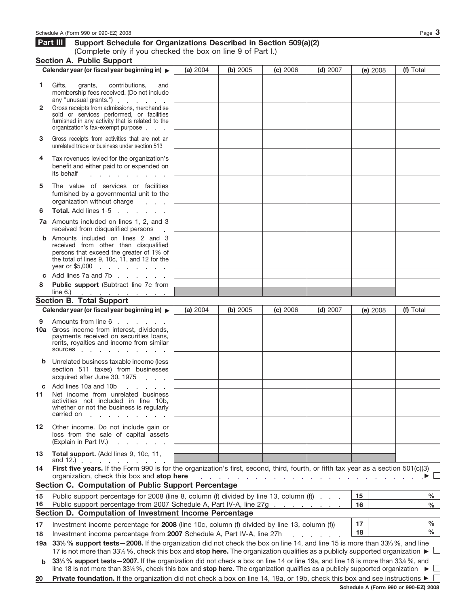|              | Schedule A (Form 990 or 990-EZ) 2008                                                                                                                                                                       |          |          |                                                                                 |                  |          | Page $3$     |
|--------------|------------------------------------------------------------------------------------------------------------------------------------------------------------------------------------------------------------|----------|----------|---------------------------------------------------------------------------------|------------------|----------|--------------|
|              | Part III<br>Support Schedule for Organizations Described in Section 509(a)(2)                                                                                                                              |          |          |                                                                                 |                  |          |              |
|              | (Complete only if you checked the box on line 9 of Part I.)                                                                                                                                                |          |          |                                                                                 |                  |          |              |
|              | <b>Section A. Public Support</b><br>Calendar year (or fiscal year beginning in)                                                                                                                            | (a) 2004 | (b) 2005 | (c) 2006                                                                        | $(d)$ 2007       | (e) 2008 | (f) Total    |
|              |                                                                                                                                                                                                            |          |          |                                                                                 |                  |          |              |
| 1            | Gifts,<br>contributions.<br>grants,<br>and<br>membership fees received. (Do not include<br>any "unusual grants.") example any subset of the same state of the state of the state of the state of the state |          |          |                                                                                 |                  |          |              |
| $\mathbf{2}$ | Gross receipts from admissions, merchandise<br>sold or services performed, or facilities<br>furnished in any activity that is related to the<br>organization's tax-exempt purpose                          |          |          |                                                                                 |                  |          |              |
| 3            | Gross receipts from activities that are not an<br>unrelated trade or business under section 513                                                                                                            |          |          |                                                                                 |                  |          |              |
| 4            | Tax revenues levied for the organization's<br>benefit and either paid to or expended on<br>its behalf<br>and a state of the state of the                                                                   |          |          |                                                                                 |                  |          |              |
| 5            | The value of services or facilities<br>furnished by a governmental unit to the<br>organization without charge<br><b>Contract Contract</b>                                                                  |          |          |                                                                                 |                  |          |              |
| 6            | Total. Add lines 1-5<br>and the state of the state of                                                                                                                                                      |          |          |                                                                                 |                  |          |              |
|              | 7a Amounts included on lines 1, 2, and 3<br>received from disqualified persons                                                                                                                             |          |          |                                                                                 |                  |          |              |
|              | <b>b</b> Amounts included on lines 2 and 3<br>received from other than disqualified<br>persons that exceed the greater of 1% of<br>the total of lines 9, 10c, 11, and 12 for the                           |          |          |                                                                                 |                  |          |              |
|              | Add lines 7a and 7b                                                                                                                                                                                        |          |          |                                                                                 |                  |          |              |
| 8            | Public support (Subtract line 7c from<br>line 6.)                                                                                                                                                          |          |          |                                                                                 |                  |          |              |
|              | and the companion of the companion of<br><b>Section B. Total Support</b>                                                                                                                                   |          |          |                                                                                 |                  |          |              |
|              | Calendar year (or fiscal year beginning in) >                                                                                                                                                              | (a) 2004 | (b) 2005 | (c) 2006                                                                        | $(d)$ 2007       | (e) 2008 | (f) Total    |
| 9            | Amounts from line 6<br>and the state of the state of                                                                                                                                                       |          |          |                                                                                 |                  |          |              |
|              | 10a Gross income from interest, dividends,<br>payments received on securities loans,<br>rents, royalties and income from similar<br>sources in the sources                                                 |          |          |                                                                                 |                  |          |              |
|              | <b>b</b> Unrelated business taxable income (less<br>section 511 taxes) from businesses<br>acquired after June 30, 1975                                                                                     |          |          |                                                                                 |                  |          |              |
| C            | Add lines 10a and 10b                                                                                                                                                                                      |          |          |                                                                                 |                  |          |              |
| 11           | Net income from unrelated business<br>activities not included in line 10b,<br>whether or not the business is regularly<br>carried on                                                                       |          |          |                                                                                 |                  |          |              |
| 12           | Other income. Do not include gain or<br>loss from the sale of capital assets<br>(Explain in Part IV.)<br>and a strategic and a                                                                             |          |          |                                                                                 |                  |          |              |
| 13           | Total support. (Add lines 9, 10c, 11,<br>and $12.$ $\ldots$ $\ldots$ $\ldots$                                                                                                                              |          |          |                                                                                 |                  |          |              |
| 14           | First five years. If the Form 990 is for the organization's first, second, third, fourth, or fifth tax year as a section 501(c)(3)<br>organization, check this box and stop here                           |          |          | the contract of the contract of the contract of the contract of the contract of |                  |          |              |
|              | Section C. Computation of Public Support Percentage                                                                                                                                                        |          |          |                                                                                 |                  |          |              |
| 15<br>16     | Public support percentage for 2008 (line 8, column (f) divided by line 13, column (f)<br>Public support percentage from 2007 Schedule A, Part IV-A, line 27g                                               |          |          |                                                                                 |                  | 15<br>16 | $\%$<br>$\%$ |
|              | Section D. Computation of Investment Income Percentage                                                                                                                                                     |          |          |                                                                                 |                  |          | %            |
| 17           | 17<br>Investment income percentage for 2008 (line 10c, column (f) divided by line 13, column (f)).<br>18<br>Investment income percentage from 2007 Schedule A, Part IV-A, line 27h                         |          |          |                                                                                 |                  |          |              |
| 18           | 19a 331/ <sub>3</sub> % support tests - 2008. If the organization did not check the box on line 14, and line 15 is more than 33 <sup>1/3</sup> %, and line                                                 |          |          |                                                                                 | and a strain and |          | $\%$         |
|              | 17 is not more than 331/3 %, check this box and stop here. The organization qualifies as a publicly supported organization ►                                                                               |          |          |                                                                                 |                  |          |              |
|              | 331/ <sub>8/2</sub> eupport tests _2007 If the craspization did not check a box on line 14 or line 10a, and line 16 is more than 331/8/ <sub>2</sub> and                                                   |          |          |                                                                                 |                  |          |              |

**331⁄3 % support tests—2007.** If the organization did not check a box on line 14 or line 19a, and line 16 is more than 331⁄3 %, and line 18 is not more than 33¼%, check this box and stop here. The organization qualifies as a publicly supported organization ▶ **b**

**20** Private foundation. If the organization did not check a box on line 14, 19a, or 19b, check this box and see instructions ▶ □